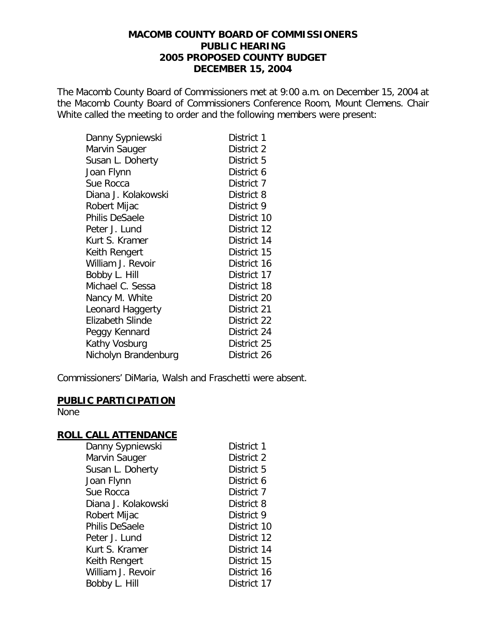## **MACOMB COUNTY BOARD OF COMMISSIONERS PUBLIC HEARING 2005 PROPOSED COUNTY BUDGET DECEMBER 15, 2004**

The Macomb County Board of Commissioners met at 9:00 a.m. on December 15, 2004 at the Macomb County Board of Commissioners Conference Room, Mount Clemens. Chair White called the meeting to order and the following members were present:

| Danny Sypniewski     | District 1  |
|----------------------|-------------|
| Marvin Sauger        | District 2  |
| Susan L. Doherty     | District 5  |
| Joan Flynn           | District 6  |
| Sue Rocca            | District 7  |
| Diana J. Kolakowski  | District 8  |
| Robert Mijac         | District 9  |
| Philis DeSaele       | District 10 |
| Peter J. Lund        | District 12 |
| Kurt S. Kramer       | District 14 |
| Keith Rengert        | District 15 |
| William J. Revoir    | District 16 |
| Bobby L. Hill        | District 17 |
| Michael C. Sessa     | District 18 |
| Nancy M. White       | District 20 |
| Leonard Haggerty     | District 21 |
| Elizabeth Slinde     | District 22 |
| Peggy Kennard        | District 24 |
| Kathy Vosburg        | District 25 |
| Nicholyn Brandenburg | District 26 |

Commissioners' DiMaria, Walsh and Fraschetti were absent.

#### **PUBLIC PARTICIPATION** None

## **ROLL CALL ATTENDANCE**

| Danny Sypniewski      | District 1  |
|-----------------------|-------------|
| Marvin Sauger         | District 2  |
| Susan L. Doherty      | District 5  |
| Joan Flynn            | District 6  |
| Sue Rocca             | District 7  |
| Diana J. Kolakowski   | District 8  |
| Robert Mijac          | District 9  |
| <b>Philis DeSaele</b> | District 10 |
| Peter J. Lund         | District 12 |
| Kurt S. Kramer        | District 14 |
| Keith Rengert         | District 15 |
| William J. Revoir     | District 16 |
| Bobby L. Hill         | District 17 |